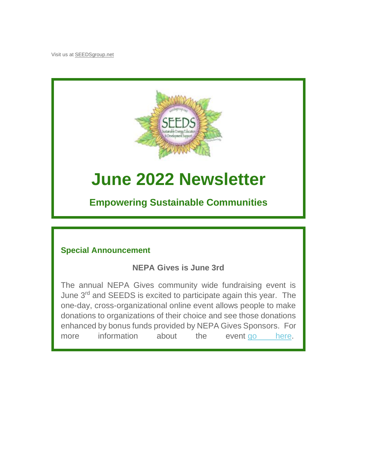Visit us at [SEEDSgroup.net](https://seedsgroup.us4.list-manage.com/track/click?u=2de0c21d43d0fd0237e9e7b4f&id=4761f68e00&e=95734a3485)



# **June 2022 Newsletter**

**Empowering Sustainable Communities**

# **Special Announcement**

# **NEPA Gives is June 3rd**

The annual NEPA Gives community wide fundraising event is June 3rd and SEEDS is excited to participate again this year. The one-day, cross-organizational online event allows people to make donations to organizations of their choice and see those donations enhanced by bonus funds provided by NEPA Gives Sponsors. For more information about the event [go here.](https://seedsgroup.us4.list-manage.com/track/click?u=2de0c21d43d0fd0237e9e7b4f&id=dea8b1a9b6&e=95734a3485)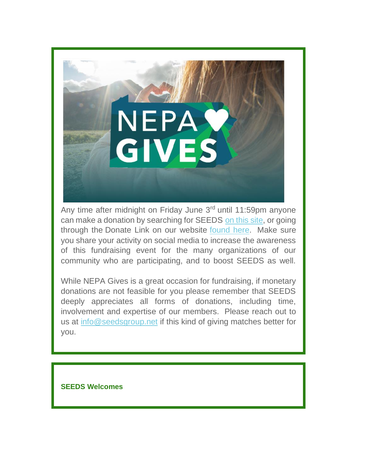

Any time after midnight on Friday June 3<sup>rd</sup> until 11:59pm anyone can make a donation by searching for SEEDS [on this site,](https://seedsgroup.us4.list-manage.com/track/click?u=2de0c21d43d0fd0237e9e7b4f&id=7cb37ba8a8&e=95734a3485) or going through the Donate Link on our website [found here.](https://seedsgroup.us4.list-manage.com/track/click?u=2de0c21d43d0fd0237e9e7b4f&id=858b963c78&e=95734a3485) Make sure you share your activity on social media to increase the awareness of this fundraising event for the many organizations of our community who are participating, and to boost SEEDS as well.

While NEPA Gives is a great occasion for fundraising, if monetary donations are not feasible for you please remember that SEEDS deeply appreciates all forms of donations, including time, involvement and expertise of our members. Please reach out to us at [info@seedsgroup.net](mailto:info@seedsgroup.net) if this kind of giving matches better for you.

### **SEEDS Welcomes**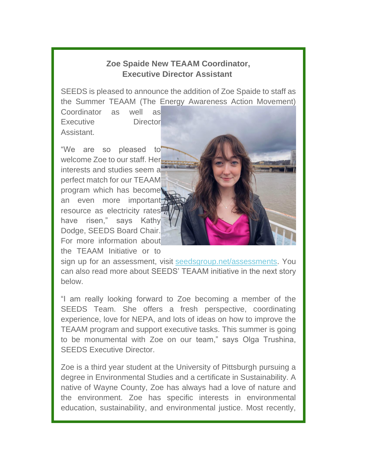## **Zoe Spaide New TEAAM Coordinator, Executive Director Assistant**

SEEDS is pleased to announce the addition of Zoe Spaide to staff as the Summer TEAAM (The Energy Awareness Action Movement)

Coordinator as well as Executive Director Assistant.

"We are so pleased to welcome Zoe to our staff. Her interests and studies seem a perfect match for our TEAAM program which has become an even more important resource as electricity rates have risen," says Kathy Dodge, SEEDS Board Chair. For more information about the TEAAM Initiative or to

sign up for an assessment, visit [seedsgroup.net/assessments.](https://seedsgroup.us4.list-manage.com/track/click?u=2de0c21d43d0fd0237e9e7b4f&id=84c8395383&e=95734a3485) You can also read more about SEEDS' TEAAM initiative in the next story below.

"I am really looking forward to Zoe becoming a member of the SEEDS Team. She offers a fresh perspective, coordinating experience, love for NEPA, and lots of ideas on how to improve the TEAAM program and support executive tasks. This summer is going to be monumental with Zoe on our team," says Olga Trushina, SEEDS Executive Director.

Zoe is a third year student at the University of Pittsburgh pursuing a degree in Environmental Studies and a certificate in Sustainability. A native of Wayne County, Zoe has always had a love of nature and the environment. Zoe has specific interests in environmental education, sustainability, and environmental justice. Most recently,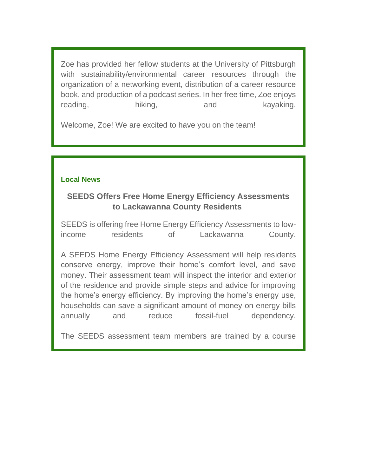Zoe has provided her fellow students at the University of Pittsburgh with sustainability/environmental career resources through the organization of a networking event, distribution of a career resource book, and production of a podcast series. In her free time, Zoe enjoys reading, hiking, and kayaking.

Welcome, Zoe! We are excited to have you on the team!

## **Local News**

# **SEEDS Offers Free Home Energy Efficiency Assessments to Lackawanna County Residents**

SEEDS is offering free Home Energy Efficiency Assessments to lowincome residents of Lackawanna County.

A SEEDS Home Energy Efficiency Assessment will help residents conserve energy, improve their home's comfort level, and save money. Their assessment team will inspect the interior and exterior of the residence and provide simple steps and advice for improving the home's energy efficiency. By improving the home's energy use, households can save a significant amount of money on energy bills annually and reduce fossil-fuel dependency.

The SEEDS assessment team members are trained by a course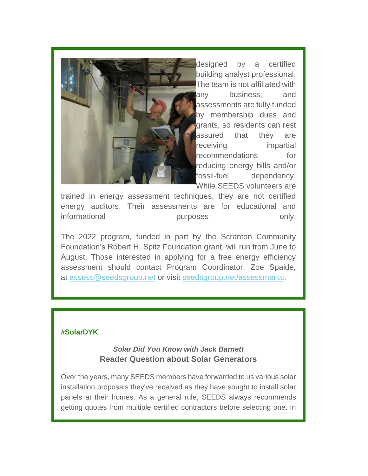

[d](https://seedsgroup.us4.list-manage.com/track/click?u=2de0c21d43d0fd0237e9e7b4f&id=e8da9a1011&e=95734a3485)esigned by a certified building analyst professional. The team is not affiliated with any business, and assessments are fully funded by membership dues and grants, so residents can rest assured that they are receiving impartial recommendations for reducing energy bills and/or fossil-fuel dependency. While SEEDS volunteers are

trained in energy assessment techniques, they are not certified energy auditors. Their assessments are for educational and informational purposes only.

The 2022 program, funded in part by the Scranton Community Foundation's Robert H. Spitz Foundation grant, will run from June to August. Those interested in applying for a free energy efficiency assessment should contact Program Coordinator, Zoe Spaide, at [assess@seedsgroup.net](mailto:assess@seedsgroup.net) or visit [seedsgroup.net/assessments.](https://seedsgroup.us4.list-manage.com/track/click?u=2de0c21d43d0fd0237e9e7b4f&id=d856f45cb3&e=95734a3485)

#### **#SolarDYK**

*Solar Did You Know with Jack Barnett* **Reader Question about Solar Generators**

Over the years, many SEEDS members have forwarded to us various solar installation proposals they've received as they have sought to install solar panels at their homes. As a general rule, SEEDS always recommends getting quotes from multiple certified contractors before selecting one. In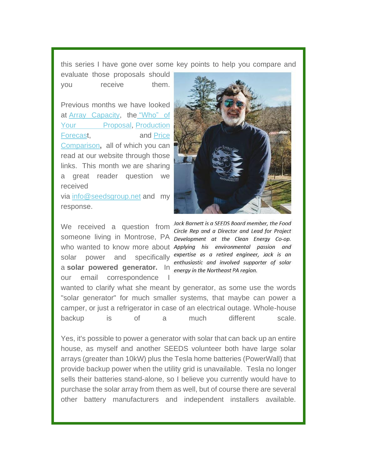this series I have gone over some key points to help you compare and

evaluate those proposals should you receive them.

Previous months we have looked at **Array** Capacity, the "Who" of [Your Proposal,](https://seedsgroup.us4.list-manage.com/track/click?u=2de0c21d43d0fd0237e9e7b4f&id=43acef9fcd&e=95734a3485) Production [Forecast](https://seedsgroup.us4.list-manage.com/track/click?u=2de0c21d43d0fd0237e9e7b4f&id=85676eab1c&e=95734a3485), and Price [Comparison](https://seedsgroup.us4.list-manage.com/track/click?u=2de0c21d43d0fd0237e9e7b4f&id=1ee0cd6ec9&e=95734a3485)**,** all of which you can read at our website through those links. This month we are sharing a great reader question we received via [info@seedsgroup.net](https://seedsgroup.us4.list-manage.com/track/click?u=2de0c21d43d0fd0237e9e7b4f&id=c6b58268ba&e=95734a3485) and my response.

We received a question from solar power and specifically a **solar powered generator.** In **energy** in the Northeast PA region. our email correspondence I



Jack Barnett is a SEEDS Board member, the Food Circle Rep and a Director and Lead for Project someone living in Montrose, PA pevelopment at the Clean Energy Co-op. who wanted to know more about Applying his environmental passion and expertise as a retired engineer, Jack is an enthusiastic and involved supporter of solar

wanted to clarify what she meant by generator, as some use the words "solar generator" for much smaller systems, that maybe can power a camper, or just a refrigerator in case of an electrical outage. Whole-house backup is of a much different scale.

Yes, it's possible to power a generator with solar that can back up an entire house, as myself and another SEEDS volunteer both have large solar arrays (greater than 10kW) plus the Tesla home batteries (PowerWall) that provide backup power when the utility grid is unavailable. Tesla no longer sells their batteries stand-alone, so I believe you currently would have to purchase the solar array from them as well, but of course there are several other battery manufacturers and independent installers available.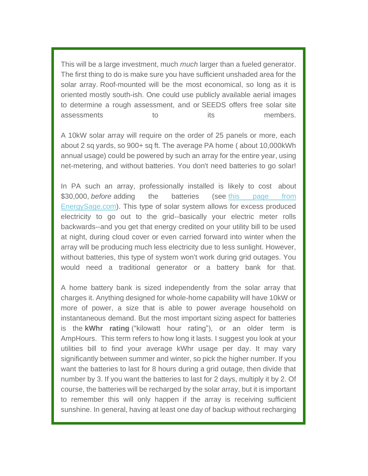This will be a large investment, much *much* larger than a fueled generator. The first thing to do is make sure you have sufficient unshaded area for the solar array. Roof-mounted will be the most economical, so long as it is oriented mostly south-ish. One could use publicly available aerial images to determine a rough assessment, and or SEEDS offers free solar site assessments to the its members.

A 10kW solar array will require on the order of 25 panels or more, each about 2 sq yards, so 900+ sq ft. The average PA home ( about 10,000kWh annual usage) could be powered by such an array for the entire year, using net-metering, and without batteries. You don't need batteries to go solar!

In PA such an array, professionally installed is likely to cost about \$30,000, *before* adding the batteries (see this page from [EnergySage.com\)](https://seedsgroup.us4.list-manage.com/track/click?u=2de0c21d43d0fd0237e9e7b4f&id=1e2e8ca3f7&e=95734a3485). This type of solar system allows for excess produced electricity to go out to the grid--basically your electric meter rolls backwards--and you get that energy credited on your utility bill to be used at night, during cloud cover or even carried forward into winter when the array will be producing much less electricity due to less sunlight. However, without batteries, this type of system won't work during grid outages. You would need a traditional generator or a battery bank for that.

A home battery bank is sized independently from the solar array that charges it. Anything designed for whole-home capability will have 10kW or more of power, a size that is able to power average household on instantaneous demand. But the most important sizing aspect for batteries is the **kWhr rating** ("kilowatt hour rating"), or an older term is AmpHours. This term refers to how long it lasts. I suggest you look at your utilities bill to find your average kWhr usage per day. It may vary significantly between summer and winter, so pick the higher number. If you want the batteries to last for 8 hours during a grid outage, then divide that number by 3. If you want the batteries to last for 2 days, multiply it by 2. Of course, the batteries will be recharged by the solar array, but it is important to remember this will only happen if the array is receiving sufficient sunshine. In general, having at least one day of backup without recharging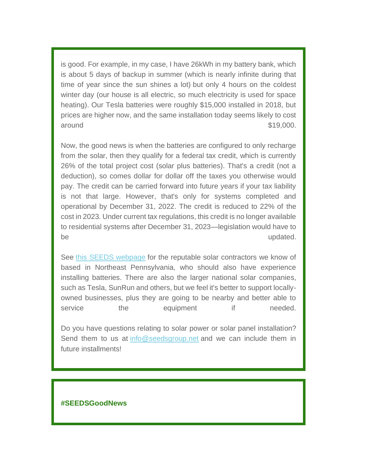is good. For example, in my case, I have 26kWh in my battery bank, which is about 5 days of backup in summer (which is nearly infinite during that time of year since the sun shines a lot) but only 4 hours on the coldest winter day (our house is all electric, so much electricity is used for space heating). Our Tesla batteries were roughly \$15,000 installed in 2018, but prices are higher now, and the same installation today seems likely to cost around \$19,000.

Now, the good news is when the batteries are configured to only recharge from the solar, then they qualify for a federal tax credit, which is currently 26% of the total project cost (solar plus batteries). That's a credit (not a deduction), so comes dollar for dollar off the taxes you otherwise would pay. The credit can be carried forward into future years if your tax liability is not that large. However, that's only for systems completed and operational by December 31, 2022. The credit is reduced to 22% of the cost in 2023. Under current tax regulations, this credit is no longer available to residential systems after December 31, 2023—legislation would have to be updated.

See [this SEEDS webpage](https://seedsgroup.us4.list-manage.com/track/click?u=2de0c21d43d0fd0237e9e7b4f&id=73369060db&e=95734a3485) for the reputable solar contractors we know of based in Northeast Pennsylvania, who should also have experience installing batteries. There are also the larger national solar companies, such as Tesla, SunRun and others, but we feel it's better to support locallyowned businesses, plus they are going to be nearby and better able to service the equipment if needed.

Do you have questions relating to solar power or solar panel installation? Send them to us at [info@seedsgroup.net](mailto:info@seedsgroup.net) and we can include them in future installments!

#### **#SEEDSGoodNews**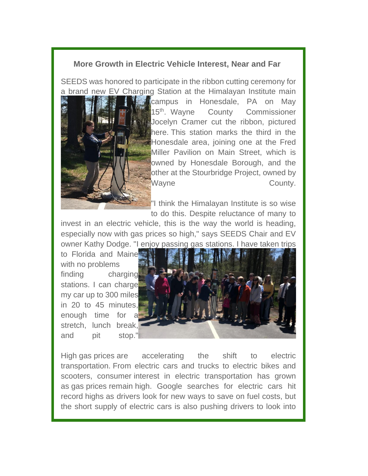## **More Growth in Electric Vehicle Interest, Near and Far**

SEEDS was honored to participate in the ribbon cutting ceremony for a brand new EV Charging Station at the Himalayan Institute main



campus in Honesdale, PA on May 15<sup>th</sup>. Wayne County Commissioner Jocelyn Cramer cut the ribbon, pictured here. This station marks the third in the Honesdale area, joining one at the Fred Miller Pavilion on Main Street, which is owned by Honesdale Borough, and the other at the Stourbridge Project, owned by Wayne **County** County.

"I think the Himalayan Institute is so wise to do this. Despite reluctance of many to

invest in an electric vehicle, this is the way the world is heading, especially now with gas prices so high," says SEEDS Chair and EV owner Kathy Dodge. "I enjoy passing gas stations. I have taken trips

to Florida and Maine with no problems finding charging stations. I can charge my car up to 300 miles in 20 to 45 minutes, enough time for stretch, lunch break, and pit stop."



High gas prices are accelerating the shift to electric transportation. From electric cars and trucks to electric bikes and scooters, consumer interest in electric transportation has grown as gas prices remain high. Google searches for electric cars hit record highs as drivers look for new ways to save on fuel costs, but the short supply of electric cars is also pushing drivers to look into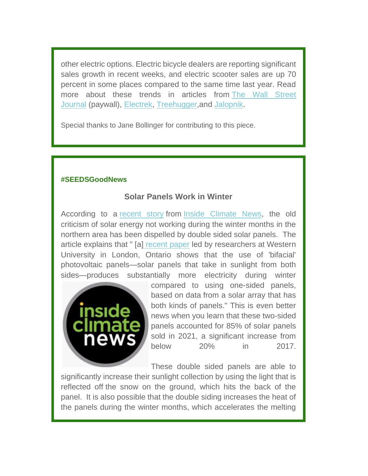other electric options. Electric bicycle dealers are reporting significant sales growth in recent weeks, and electric scooter sales are up 70 percent in some places compared to the same time last year. Read more about these trends in articles from [The Wall Street](https://seedsgroup.us4.list-manage.com/track/click?u=2de0c21d43d0fd0237e9e7b4f&id=aaae287183&e=95734a3485)  [Journal](https://seedsgroup.us4.list-manage.com/track/click?u=2de0c21d43d0fd0237e9e7b4f&id=aaae287183&e=95734a3485) (paywall), [Electrek,](https://seedsgroup.us4.list-manage.com/track/click?u=2de0c21d43d0fd0237e9e7b4f&id=43975011ca&e=95734a3485) [Treehugger,](https://seedsgroup.us4.list-manage.com/track/click?u=2de0c21d43d0fd0237e9e7b4f&id=350c0d8a03&e=95734a3485)and [Jalopnik](https://seedsgroup.us4.list-manage.com/track/click?u=2de0c21d43d0fd0237e9e7b4f&id=064f1de0b6&e=95734a3485).

Special thanks to Jane Bollinger for contributing to this piece.

#### **#SEEDSGoodNews**

## **Solar Panels Work in Winter**

According to a [recent story](https://seedsgroup.us4.list-manage.com/track/click?u=2de0c21d43d0fd0237e9e7b4f&id=72b61c88b2&e=95734a3485) from [Inside Climate News,](https://seedsgroup.us4.list-manage.com/track/click?u=2de0c21d43d0fd0237e9e7b4f&id=ec3b89f5f6&e=95734a3485) the old criticism of solar energy not working during the winter months in the northern area has been dispelled by double sided solar panels. The article explains that " [a] [recent paper](https://seedsgroup.us4.list-manage.com/track/click?u=2de0c21d43d0fd0237e9e7b4f&id=35ec5811da&e=95734a3485) led by researchers at Western University in London, Ontario shows that the use of 'bifacial' photovoltaic panels—solar panels that take in sunlight from both sides—produces substantially more electricity during winter



compared to using one-sided panels, based on data from a solar array that has both kinds of panels." This is even better news when you learn that these two-sided panels accounted for 85% of solar panels sold in 2021, a significant increase from below 20% in 2017.

These double sided panels are able to

significantly increase their sunlight collection by using the light that is reflected off the snow on the ground, which hits the back of the panel. It is also possible that the double siding increases the heat of the panels during the winter months, which accelerates the melting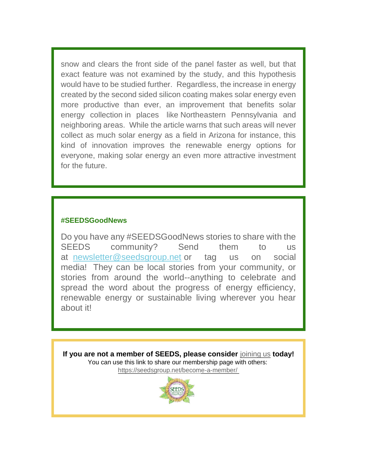snow and clears the front side of the panel faster as well, but that exact feature was not examined by the study, and this hypothesis would have to be studied further. Regardless, the increase in energy created by the second sided silicon coating makes solar energy even more productive than ever, an improvement that benefits solar energy collection in places like Northeastern Pennsylvania and neighboring areas. While the article warns that such areas will never collect as much solar energy as a field in Arizona for instance, this kind of innovation improves the renewable energy options for everyone, making solar energy an even more attractive investment for the future.

#### **#SEEDSGoodNews**

Do you have any #SEEDSGoodNews stories to share with the SEEDS community? Send them to us at [newsletter@seedsgroup.net](mailto:info@seedsgroup.net) or tag us on social media! They can be local stories from your community, or stories from around the world--anything to celebrate and spread the word about the progress of energy efficiency, renewable energy or sustainable living wherever you hear about it!

**If you are not a member of SEEDS, please consider** [joining us](https://seedsgroup.us4.list-manage.com/track/click?u=2de0c21d43d0fd0237e9e7b4f&id=180812f6fe&e=95734a3485) **today!** You can use this link to share our membership page with others: [https://seedsgroup.net/become-a-member/](https://seedsgroup.us4.list-manage.com/track/click?u=2de0c21d43d0fd0237e9e7b4f&id=cfabad3c4b&e=95734a3485)